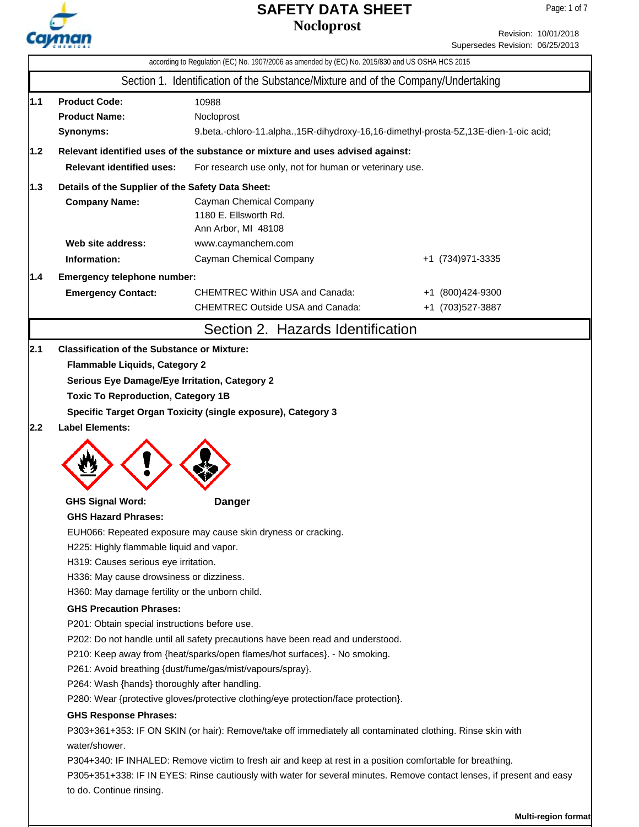

Revision: 10/01/2018 Supersedes Revision: 06/25/2013

|     |                                                                                                                                                                                                                                                                                                                              | according to Regulation (EC) No. 1907/2006 as amended by (EC) No. 2015/830 and US OSHA HCS 2015                                                                                                                                     |                                      |  |  |  |  |  |
|-----|------------------------------------------------------------------------------------------------------------------------------------------------------------------------------------------------------------------------------------------------------------------------------------------------------------------------------|-------------------------------------------------------------------------------------------------------------------------------------------------------------------------------------------------------------------------------------|--------------------------------------|--|--|--|--|--|
|     |                                                                                                                                                                                                                                                                                                                              | Section 1. Identification of the Substance/Mixture and of the Company/Undertaking                                                                                                                                                   |                                      |  |  |  |  |  |
| 1.1 | <b>Product Code:</b><br><b>Product Name:</b><br>Synonyms:                                                                                                                                                                                                                                                                    | 10988<br>Nocloprost<br>9.beta.-chloro-11.alpha.,15R-dihydroxy-16,16-dimethyl-prosta-5Z,13E-dien-1-oic acid;                                                                                                                         |                                      |  |  |  |  |  |
| 1.2 |                                                                                                                                                                                                                                                                                                                              | Relevant identified uses of the substance or mixture and uses advised against:                                                                                                                                                      |                                      |  |  |  |  |  |
|     | <b>Relevant identified uses:</b>                                                                                                                                                                                                                                                                                             | For research use only, not for human or veterinary use.                                                                                                                                                                             |                                      |  |  |  |  |  |
| 1.3 | Details of the Supplier of the Safety Data Sheet:<br><b>Company Name:</b>                                                                                                                                                                                                                                                    | Cayman Chemical Company<br>1180 E. Ellsworth Rd.<br>Ann Arbor, MI 48108                                                                                                                                                             |                                      |  |  |  |  |  |
|     | Web site address:                                                                                                                                                                                                                                                                                                            | www.caymanchem.com                                                                                                                                                                                                                  |                                      |  |  |  |  |  |
|     | Information:                                                                                                                                                                                                                                                                                                                 | Cayman Chemical Company                                                                                                                                                                                                             | +1 (734) 971-3335                    |  |  |  |  |  |
| 1.4 | Emergency telephone number:                                                                                                                                                                                                                                                                                                  |                                                                                                                                                                                                                                     |                                      |  |  |  |  |  |
|     | <b>Emergency Contact:</b>                                                                                                                                                                                                                                                                                                    | <b>CHEMTREC Within USA and Canada:</b><br><b>CHEMTREC Outside USA and Canada:</b>                                                                                                                                                   | +1 (800)424-9300<br>+1 (703)527-3887 |  |  |  |  |  |
|     |                                                                                                                                                                                                                                                                                                                              | Section 2. Hazards Identification                                                                                                                                                                                                   |                                      |  |  |  |  |  |
| 2.1 | <b>Classification of the Substance or Mixture:</b>                                                                                                                                                                                                                                                                           |                                                                                                                                                                                                                                     |                                      |  |  |  |  |  |
|     | <b>Flammable Liquids, Category 2</b>                                                                                                                                                                                                                                                                                         |                                                                                                                                                                                                                                     |                                      |  |  |  |  |  |
|     | Serious Eye Damage/Eye Irritation, Category 2                                                                                                                                                                                                                                                                                |                                                                                                                                                                                                                                     |                                      |  |  |  |  |  |
|     | <b>Toxic To Reproduction, Category 1B</b>                                                                                                                                                                                                                                                                                    |                                                                                                                                                                                                                                     |                                      |  |  |  |  |  |
|     |                                                                                                                                                                                                                                                                                                                              | Specific Target Organ Toxicity (single exposure), Category 3                                                                                                                                                                        |                                      |  |  |  |  |  |
| 2.2 | <b>Label Elements:</b>                                                                                                                                                                                                                                                                                                       |                                                                                                                                                                                                                                     |                                      |  |  |  |  |  |
|     |                                                                                                                                                                                                                                                                                                                              |                                                                                                                                                                                                                                     |                                      |  |  |  |  |  |
|     | <b>GHS Signal Word:</b>                                                                                                                                                                                                                                                                                                      | <b>Danger</b>                                                                                                                                                                                                                       |                                      |  |  |  |  |  |
|     | <b>GHS Hazard Phrases:</b>                                                                                                                                                                                                                                                                                                   |                                                                                                                                                                                                                                     |                                      |  |  |  |  |  |
|     |                                                                                                                                                                                                                                                                                                                              | EUH066: Repeated exposure may cause skin dryness or cracking.                                                                                                                                                                       |                                      |  |  |  |  |  |
|     | H225: Highly flammable liquid and vapor.                                                                                                                                                                                                                                                                                     |                                                                                                                                                                                                                                     |                                      |  |  |  |  |  |
|     | H319: Causes serious eye irritation.                                                                                                                                                                                                                                                                                         |                                                                                                                                                                                                                                     |                                      |  |  |  |  |  |
|     | H336: May cause drowsiness or dizziness.<br>H360: May damage fertility or the unborn child.                                                                                                                                                                                                                                  |                                                                                                                                                                                                                                     |                                      |  |  |  |  |  |
|     | <b>GHS Precaution Phrases:</b>                                                                                                                                                                                                                                                                                               |                                                                                                                                                                                                                                     |                                      |  |  |  |  |  |
|     | P201: Obtain special instructions before use.<br>P202: Do not handle until all safety precautions have been read and understood.<br>P210: Keep away from {heat/sparks/open flames/hot surfaces}. - No smoking.<br>P261: Avoid breathing {dust/fume/gas/mist/vapours/spray}.<br>P264: Wash {hands} thoroughly after handling. |                                                                                                                                                                                                                                     |                                      |  |  |  |  |  |
|     |                                                                                                                                                                                                                                                                                                                              | P280: Wear {protective gloves/protective clothing/eye protection/face protection}.                                                                                                                                                  |                                      |  |  |  |  |  |
|     | <b>GHS Response Phrases:</b><br>water/shower.                                                                                                                                                                                                                                                                                | P303+361+353: IF ON SKIN (or hair): Remove/take off immediately all contaminated clothing. Rinse skin with                                                                                                                          |                                      |  |  |  |  |  |
|     | to do. Continue rinsing.                                                                                                                                                                                                                                                                                                     | P304+340: IF INHALED: Remove victim to fresh air and keep at rest in a position comfortable for breathing.<br>P305+351+338: IF IN EYES: Rinse cautiously with water for several minutes. Remove contact lenses, if present and easy |                                      |  |  |  |  |  |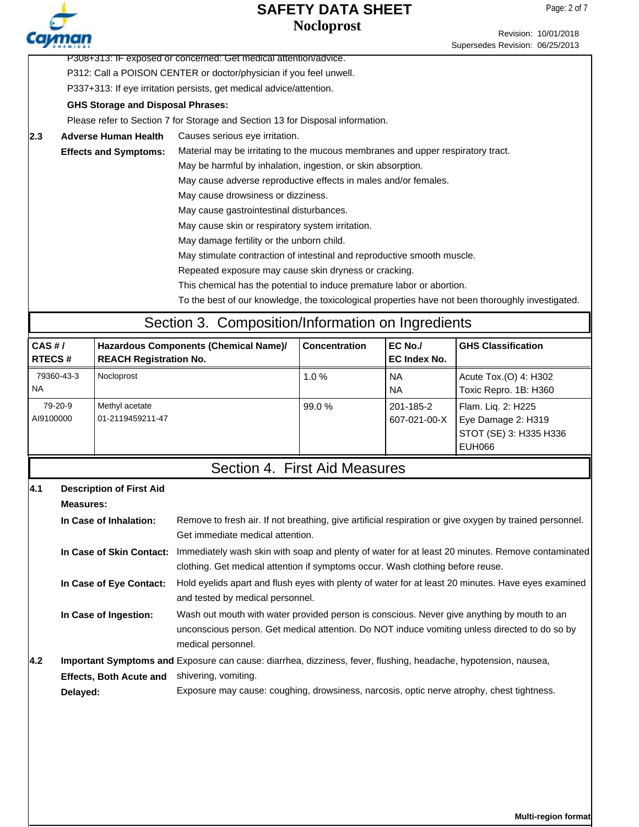Revision: 10/01/2018 Supersedes Revision: 06/25/2013

P308+313: IF exposed or concerned: Get medical attention/advice. P312: Call a POISON CENTER or doctor/physician if you feel unwell.

P337+313: If eye irritation persists, get medical advice/attention.

#### **GHS Storage and Disposal Phrases:**

Please refer to Section 7 for Storage and Section 13 for Disposal information.

**2.3** Adverse Human Health Causes serious eye irritation. **Adverse Human Health**

> Material may be irritating to the mucous membranes and upper respiratory tract. **Effects and Symptoms:**

> > May be harmful by inhalation, ingestion, or skin absorption.

May cause adverse reproductive effects in males and/or females.

May cause drowsiness or dizziness.

May cause gastrointestinal disturbances.

May cause skin or respiratory system irritation.

May damage fertility or the unborn child.

May stimulate contraction of intestinal and reproductive smooth muscle.

Repeated exposure may cause skin dryness or cracking.

This chemical has the potential to induce premature labor or abortion.

To the best of our knowledge, the toxicological properties have not been thoroughly investigated.

#### Section 3. Composition/Information on Ingredients

| CAS # /<br><b>RTECS#</b> | Hazardous Components (Chemical Name)/<br><b>REACH Registration No.</b> | <b>Concentration</b> | $EC$ No./<br><b>EC Index No.</b> | <b>GHS Classification</b>                                                           |
|--------------------------|------------------------------------------------------------------------|----------------------|----------------------------------|-------------------------------------------------------------------------------------|
| 79360-43-3<br>l NA       | Nocloprost                                                             | 1.0%                 | <b>NA</b><br><b>NA</b>           | Acute Tox.(O) 4: H302<br>Toxic Repro. 1B: H360                                      |
| 79-20-9<br>l AI9100000   | Methyl acetate<br>01-2119459211-47                                     | 99.0 %               | 201-185-2<br>607-021-00-X        | Flam. Liq. 2: H225<br>Eye Damage 2: H319<br>STOT (SE) 3: H335 H336<br><b>EUH066</b> |

#### Section 4. First Aid Measures

| <b>Description of First Aid</b> |                                                                                                                                                                                                                   |
|---------------------------------|-------------------------------------------------------------------------------------------------------------------------------------------------------------------------------------------------------------------|
| Measures:                       |                                                                                                                                                                                                                   |
| In Case of Inhalation:          | Remove to fresh air. If not breathing, give artificial respiration or give oxygen by trained personnel.<br>Get immediate medical attention.                                                                       |
| In Case of Skin Contact:        | Immediately wash skin with soap and plenty of water for at least 20 minutes. Remove contaminated<br>clothing. Get medical attention if symptoms occur. Wash clothing before reuse.                                |
| In Case of Eye Contact:         | Hold eyelids apart and flush eyes with plenty of water for at least 20 minutes. Have eyes examined<br>and tested by medical personnel.                                                                            |
| In Case of Ingestion:           | Wash out mouth with water provided person is conscious. Never give anything by mouth to an<br>unconscious person. Get medical attention. Do NOT induce vomiting unless directed to do so by<br>medical personnel. |
|                                 | <b>Important Symptoms and</b> Exposure can cause: diarrhea, dizziness, fever, flushing, headache, hypotension, nausea,                                                                                            |
| <b>Effects, Both Acute and</b>  | shivering, vomiting.                                                                                                                                                                                              |
| Delayed:                        | Exposure may cause: coughing, drowsiness, narcosis, optic nerve atrophy, chest tightness.                                                                                                                         |
|                                 |                                                                                                                                                                                                                   |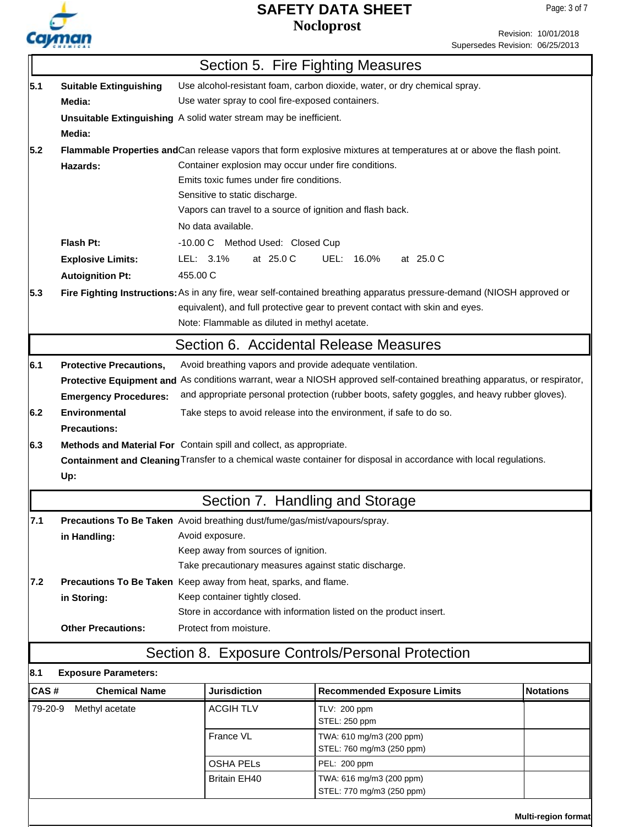# Cayman

## **Nocloprost SAFETY DATA SHEET**

Revision: 10/01/2018 Supersedes Revision: 06/25/2013

|         |                                                                           |          | Section 5. Fire Fighting Measures                                               |                                                                                                                          |                  |
|---------|---------------------------------------------------------------------------|----------|---------------------------------------------------------------------------------|--------------------------------------------------------------------------------------------------------------------------|------------------|
| 5.1     | <b>Suitable Extinguishing</b>                                             |          |                                                                                 | Use alcohol-resistant foam, carbon dioxide, water, or dry chemical spray.                                                |                  |
|         | Media:                                                                    |          | Use water spray to cool fire-exposed containers.                                |                                                                                                                          |                  |
|         | Unsuitable Extinguishing A solid water stream may be inefficient.         |          |                                                                                 |                                                                                                                          |                  |
|         | Media:                                                                    |          |                                                                                 |                                                                                                                          |                  |
| 5.2     |                                                                           |          |                                                                                 | Flammable Properties andCan release vapors that form explosive mixtures at temperatures at or above the flash point.     |                  |
|         | Hazards:                                                                  |          | Container explosion may occur under fire conditions.                            |                                                                                                                          |                  |
|         |                                                                           |          | Emits toxic fumes under fire conditions.                                        |                                                                                                                          |                  |
|         |                                                                           |          | Sensitive to static discharge.                                                  |                                                                                                                          |                  |
|         |                                                                           |          | Vapors can travel to a source of ignition and flash back.<br>No data available. |                                                                                                                          |                  |
|         | Flash Pt:                                                                 |          |                                                                                 |                                                                                                                          |                  |
|         |                                                                           |          | -10.00 C Method Used: Closed Cup<br>LEL: 3.1%<br>at 25.0 C                      | UEL: 16.0%<br>at 25.0 C                                                                                                  |                  |
|         | <b>Explosive Limits:</b>                                                  | 455.00 C |                                                                                 |                                                                                                                          |                  |
|         | <b>Autoignition Pt:</b>                                                   |          |                                                                                 | Fire Fighting Instructions: As in any fire, wear self-contained breathing apparatus pressure-demand (NIOSH approved or   |                  |
| 5.3     |                                                                           |          |                                                                                 | equivalent), and full protective gear to prevent contact with skin and eyes.                                             |                  |
|         |                                                                           |          | Note: Flammable as diluted in methyl acetate.                                   |                                                                                                                          |                  |
|         |                                                                           |          |                                                                                 | Section 6. Accidental Release Measures                                                                                   |                  |
|         |                                                                           |          |                                                                                 |                                                                                                                          |                  |
| 6.1     | <b>Protective Precautions,</b>                                            |          | Avoid breathing vapors and provide adequate ventilation.                        | Protective Equipment and As conditions warrant, wear a NIOSH approved self-contained breathing apparatus, or respirator, |                  |
|         | <b>Emergency Procedures:</b>                                              |          |                                                                                 | and appropriate personal protection (rubber boots, safety goggles, and heavy rubber gloves).                             |                  |
| 6.2     | <b>Environmental</b>                                                      |          |                                                                                 | Take steps to avoid release into the environment, if safe to do so.                                                      |                  |
|         | <b>Precautions:</b>                                                       |          |                                                                                 |                                                                                                                          |                  |
| 6.3     | Methods and Material For Contain spill and collect, as appropriate.       |          |                                                                                 |                                                                                                                          |                  |
|         |                                                                           |          |                                                                                 | Containment and Cleaning Transfer to a chemical waste container for disposal in accordance with local regulations.       |                  |
|         | Up:                                                                       |          |                                                                                 |                                                                                                                          |                  |
|         |                                                                           |          | Section 7. Handling and Storage                                                 |                                                                                                                          |                  |
| 7.1     | Precautions To Be Taken Avoid breathing dust/fume/gas/mist/vapours/spray. |          |                                                                                 |                                                                                                                          |                  |
|         | in Handling:                                                              |          | Avoid exposure.                                                                 |                                                                                                                          |                  |
|         |                                                                           |          | Keep away from sources of ignition.                                             |                                                                                                                          |                  |
|         |                                                                           |          | Take precautionary measures against static discharge.                           |                                                                                                                          |                  |
| 7.2     | Precautions To Be Taken Keep away from heat, sparks, and flame.           |          |                                                                                 |                                                                                                                          |                  |
|         | in Storing:                                                               |          | Keep container tightly closed.                                                  |                                                                                                                          |                  |
|         |                                                                           |          |                                                                                 | Store in accordance with information listed on the product insert.                                                       |                  |
|         | <b>Other Precautions:</b>                                                 |          | Protect from moisture.                                                          |                                                                                                                          |                  |
|         |                                                                           |          |                                                                                 | Section 8. Exposure Controls/Personal Protection                                                                         |                  |
| 8.1     | <b>Exposure Parameters:</b>                                               |          |                                                                                 |                                                                                                                          |                  |
| CAS#    | <b>Chemical Name</b>                                                      |          | <b>Jurisdiction</b>                                                             | <b>Recommended Exposure Limits</b>                                                                                       | <b>Notations</b> |
| 79-20-9 | Methyl acetate                                                            |          | <b>ACGIH TLV</b>                                                                | TLV: 200 ppm                                                                                                             |                  |
|         |                                                                           |          |                                                                                 | STEL: 250 ppm                                                                                                            |                  |
|         |                                                                           |          | France VL                                                                       | TWA: 610 mg/m3 (200 ppm)<br>STEL: 760 mg/m3 (250 ppm)                                                                    |                  |
|         |                                                                           |          | <b>OSHA PELS</b>                                                                | PEL: 200 ppm                                                                                                             |                  |
|         |                                                                           |          | <b>Britain EH40</b>                                                             | TWA: 616 mg/m3 (200 ppm)                                                                                                 |                  |
|         |                                                                           |          |                                                                                 | STEL: 770 mg/m3 (250 ppm)                                                                                                |                  |
|         |                                                                           |          |                                                                                 |                                                                                                                          |                  |

**Multi-region format**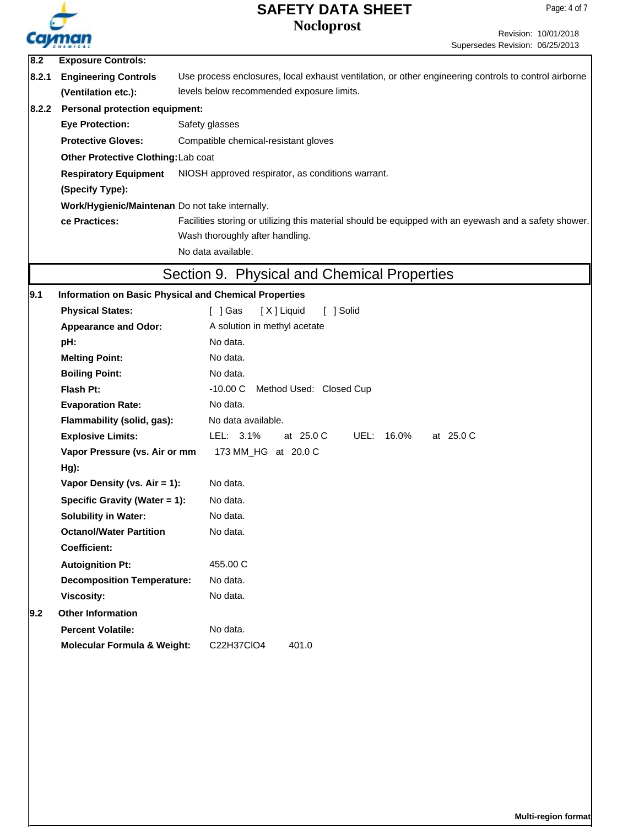

| 8.2   | <b>Exposure Controls:</b>                                    |                                                                                                       |  |  |  |  |
|-------|--------------------------------------------------------------|-------------------------------------------------------------------------------------------------------|--|--|--|--|
| 8.2.1 | <b>Engineering Controls</b>                                  | Use process enclosures, local exhaust ventilation, or other engineering controls to control airborne  |  |  |  |  |
|       | (Ventilation etc.):                                          | levels below recommended exposure limits.                                                             |  |  |  |  |
| 8.2.2 | <b>Personal protection equipment:</b>                        |                                                                                                       |  |  |  |  |
|       | <b>Eye Protection:</b>                                       | Safety glasses                                                                                        |  |  |  |  |
|       | <b>Protective Gloves:</b>                                    | Compatible chemical-resistant gloves                                                                  |  |  |  |  |
|       | Other Protective Clothing: Lab coat                          |                                                                                                       |  |  |  |  |
|       |                                                              | Respiratory Equipment NIOSH approved respirator, as conditions warrant.                               |  |  |  |  |
|       | (Specify Type):                                              |                                                                                                       |  |  |  |  |
|       | Work/Hygienic/Maintenan Do not take internally.              |                                                                                                       |  |  |  |  |
|       | ce Practices:                                                | Facilities storing or utilizing this material should be equipped with an eyewash and a safety shower. |  |  |  |  |
|       |                                                              | Wash thoroughly after handling.                                                                       |  |  |  |  |
|       |                                                              | No data available.                                                                                    |  |  |  |  |
|       |                                                              | Section 9. Physical and Chemical Properties                                                           |  |  |  |  |
| 9.1   | <b>Information on Basic Physical and Chemical Properties</b> |                                                                                                       |  |  |  |  |
|       | <b>Physical States:</b>                                      | [ ] Solid<br>$[$ ] Gas<br>[X] Liquid                                                                  |  |  |  |  |
|       | <b>Appearance and Odor:</b>                                  | A solution in methyl acetate                                                                          |  |  |  |  |
|       | pH:                                                          | No data.                                                                                              |  |  |  |  |
|       | <b>Melting Point:</b>                                        | No data.                                                                                              |  |  |  |  |
|       | <b>Boiling Point:</b>                                        | No data.                                                                                              |  |  |  |  |
|       | Flash Pt:                                                    | $-10.00C$<br>Method Used: Closed Cup                                                                  |  |  |  |  |
|       | <b>Evaporation Rate:</b>                                     | No data.                                                                                              |  |  |  |  |
|       | Flammability (solid, gas):                                   | No data available.                                                                                    |  |  |  |  |
|       | <b>Explosive Limits:</b>                                     | LEL: 3.1%<br>at 25.0 C<br>UEL: 16.0%<br>at 25.0 C                                                     |  |  |  |  |
|       | Vapor Pressure (vs. Air or mm                                | 173 MM_HG at 20.0 C                                                                                   |  |  |  |  |
|       | $Hg$ ):                                                      |                                                                                                       |  |  |  |  |
|       | Vapor Density (vs. Air = 1):                                 | No data.                                                                                              |  |  |  |  |
|       | Specific Gravity (Water = 1):                                | No data.                                                                                              |  |  |  |  |
|       | <b>Solubility in Water:</b>                                  | No data.                                                                                              |  |  |  |  |
|       | <b>Octanol/Water Partition</b>                               | No data.                                                                                              |  |  |  |  |
|       | <b>Coefficient:</b>                                          |                                                                                                       |  |  |  |  |
|       | <b>Autoignition Pt:</b>                                      | 455.00 C                                                                                              |  |  |  |  |
|       | <b>Decomposition Temperature:</b>                            | No data.                                                                                              |  |  |  |  |
|       | Viscosity:                                                   | No data.                                                                                              |  |  |  |  |
| 9.2   | <b>Other Information</b>                                     |                                                                                                       |  |  |  |  |
|       | <b>Percent Volatile:</b>                                     | No data.                                                                                              |  |  |  |  |
|       | <b>Molecular Formula &amp; Weight:</b>                       | C22H37CIO4<br>401.0                                                                                   |  |  |  |  |
|       |                                                              |                                                                                                       |  |  |  |  |
|       |                                                              |                                                                                                       |  |  |  |  |
|       |                                                              |                                                                                                       |  |  |  |  |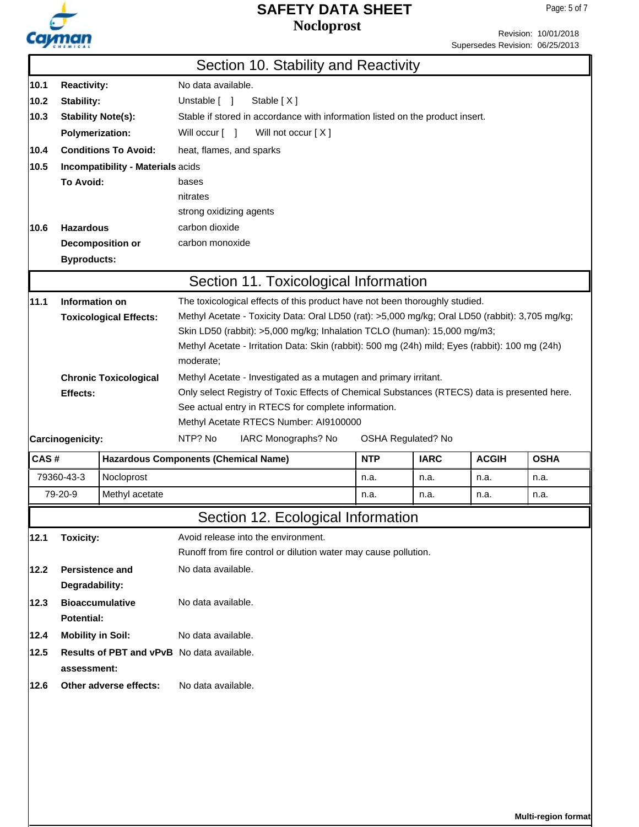

Revision: 10/01/2018 Supersedes Revision: 06/25/2013

|                  |                                            |                                        |                                                                                                                                                                  | Section 10. Stability and Reactivity                                                            |            |             |              |             |      |
|------------------|--------------------------------------------|----------------------------------------|------------------------------------------------------------------------------------------------------------------------------------------------------------------|-------------------------------------------------------------------------------------------------|------------|-------------|--------------|-------------|------|
| 10.1             | <b>Reactivity:</b>                         |                                        | No data available.                                                                                                                                               |                                                                                                 |            |             |              |             |      |
| 10.2             | Stability:                                 |                                        | Unstable [ ]<br>Stable $[X]$                                                                                                                                     |                                                                                                 |            |             |              |             |      |
| 10.3             | <b>Stability Note(s):</b>                  |                                        |                                                                                                                                                                  | Stable if stored in accordance with information listed on the product insert.                   |            |             |              |             |      |
|                  | <b>Polymerization:</b>                     |                                        | Will occur [ ]                                                                                                                                                   | Will not occur [X]                                                                              |            |             |              |             |      |
| 10.4             | <b>Conditions To Avoid:</b>                |                                        |                                                                                                                                                                  | heat, flames, and sparks                                                                        |            |             |              |             |      |
| 10.5             | Incompatibility - Materials acids          |                                        |                                                                                                                                                                  |                                                                                                 |            |             |              |             |      |
|                  | To Avoid:                                  |                                        | bases                                                                                                                                                            |                                                                                                 |            |             |              |             |      |
|                  |                                            |                                        | nitrates                                                                                                                                                         |                                                                                                 |            |             |              |             |      |
|                  |                                            |                                        | strong oxidizing agents                                                                                                                                          |                                                                                                 |            |             |              |             |      |
| 10.6             | <b>Hazardous</b>                           |                                        | carbon dioxide                                                                                                                                                   |                                                                                                 |            |             |              |             |      |
|                  | Decomposition or                           |                                        | carbon monoxide                                                                                                                                                  |                                                                                                 |            |             |              |             |      |
|                  | <b>Byproducts:</b>                         |                                        |                                                                                                                                                                  |                                                                                                 |            |             |              |             |      |
|                  |                                            |                                        |                                                                                                                                                                  | Section 11. Toxicological Information                                                           |            |             |              |             |      |
| 11.1             | Information on                             |                                        |                                                                                                                                                                  | The toxicological effects of this product have not been thoroughly studied.                     |            |             |              |             |      |
|                  | <b>Toxicological Effects:</b>              |                                        |                                                                                                                                                                  | Methyl Acetate - Toxicity Data: Oral LD50 (rat): >5,000 mg/kg; Oral LD50 (rabbit): 3,705 mg/kg; |            |             |              |             |      |
|                  |                                            |                                        |                                                                                                                                                                  | Skin LD50 (rabbit): >5,000 mg/kg; Inhalation TCLO (human): 15,000 mg/m3;                        |            |             |              |             |      |
|                  |                                            |                                        | Methyl Acetate - Irritation Data: Skin (rabbit): 500 mg (24h) mild; Eyes (rabbit): 100 mg (24h)                                                                  |                                                                                                 |            |             |              |             |      |
|                  |                                            |                                        | moderate;                                                                                                                                                        |                                                                                                 |            |             |              |             |      |
|                  | <b>Chronic Toxicological</b><br>Effects:   |                                        | Methyl Acetate - Investigated as a mutagen and primary irritant.<br>Only select Registry of Toxic Effects of Chemical Substances (RTECS) data is presented here. |                                                                                                 |            |             |              |             |      |
|                  |                                            |                                        | See actual entry in RTECS for complete information.                                                                                                              |                                                                                                 |            |             |              |             |      |
|                  |                                            | Methyl Acetate RTECS Number: AI9100000 |                                                                                                                                                                  |                                                                                                 |            |             |              |             |      |
| Carcinogenicity: |                                            |                                        | NTP? No<br>IARC Monographs? No<br>OSHA Regulated? No                                                                                                             |                                                                                                 |            |             |              |             |      |
|                  | CAS#                                       |                                        | <b>Hazardous Components (Chemical Name)</b>                                                                                                                      |                                                                                                 | <b>NTP</b> | <b>IARC</b> | <b>ACGIH</b> | <b>OSHA</b> |      |
|                  | 79360-43-3<br>Nocloprost                   |                                        |                                                                                                                                                                  |                                                                                                 |            | n.a.        | n.a.         | n.a.        | n.a. |
|                  | 79-20-9<br>Methyl acetate                  |                                        |                                                                                                                                                                  |                                                                                                 |            | n.a.        | n.a.         | n.a.        | n.a. |
|                  |                                            |                                        |                                                                                                                                                                  | Section 12. Ecological Information                                                              |            |             |              |             |      |
| 12.1             | <b>Toxicity:</b>                           |                                        |                                                                                                                                                                  | Avoid release into the environment.                                                             |            |             |              |             |      |
|                  |                                            |                                        |                                                                                                                                                                  | Runoff from fire control or dilution water may cause pollution.                                 |            |             |              |             |      |
| 12.2             | <b>Persistence and</b>                     |                                        | No data available.                                                                                                                                               |                                                                                                 |            |             |              |             |      |
|                  | Degradability:                             |                                        |                                                                                                                                                                  |                                                                                                 |            |             |              |             |      |
| 12.3             | <b>Bioaccumulative</b>                     |                                        | No data available.                                                                                                                                               |                                                                                                 |            |             |              |             |      |
|                  | Potential:                                 |                                        |                                                                                                                                                                  |                                                                                                 |            |             |              |             |      |
| 12.4             | <b>Mobility in Soil:</b>                   |                                        | No data available.                                                                                                                                               |                                                                                                 |            |             |              |             |      |
| 12.5             | Results of PBT and vPvB No data available. |                                        |                                                                                                                                                                  |                                                                                                 |            |             |              |             |      |
|                  | assessment:                                |                                        |                                                                                                                                                                  |                                                                                                 |            |             |              |             |      |
| 12.6             | Other adverse effects:                     |                                        | No data available.                                                                                                                                               |                                                                                                 |            |             |              |             |      |
|                  |                                            |                                        |                                                                                                                                                                  |                                                                                                 |            |             |              |             |      |
|                  |                                            |                                        |                                                                                                                                                                  |                                                                                                 |            |             |              |             |      |
|                  |                                            |                                        |                                                                                                                                                                  |                                                                                                 |            |             |              |             |      |
|                  |                                            |                                        |                                                                                                                                                                  |                                                                                                 |            |             |              |             |      |
|                  |                                            |                                        |                                                                                                                                                                  |                                                                                                 |            |             |              |             |      |
|                  |                                            |                                        |                                                                                                                                                                  |                                                                                                 |            |             |              |             |      |

**Multi-region format**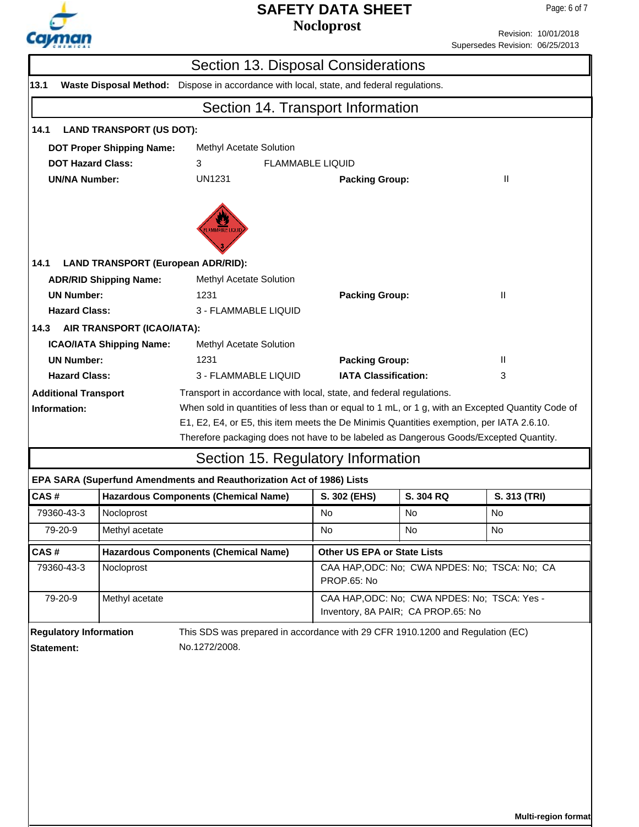Revision: 10/01/2018 Supersedes Revision: 06/25/2013

|                                                                                                  |                                           | Section 13. Disposal Considerations                                                              |                                    |                                    |                                               |
|--------------------------------------------------------------------------------------------------|-------------------------------------------|--------------------------------------------------------------------------------------------------|------------------------------------|------------------------------------|-----------------------------------------------|
| 13.1<br>Waste Disposal Method: Dispose in accordance with local, state, and federal regulations. |                                           |                                                                                                  |                                    |                                    |                                               |
|                                                                                                  |                                           | Section 14. Transport Information                                                                |                                    |                                    |                                               |
| 14.1                                                                                             | <b>LAND TRANSPORT (US DOT):</b>           |                                                                                                  |                                    |                                    |                                               |
|                                                                                                  | <b>DOT Proper Shipping Name:</b>          | Methyl Acetate Solution                                                                          |                                    |                                    |                                               |
| <b>DOT Hazard Class:</b>                                                                         |                                           | 3                                                                                                | <b>FLAMMABLE LIQUID</b>            |                                    |                                               |
| <b>UN/NA Number:</b>                                                                             |                                           | <b>UN1231</b>                                                                                    | <b>Packing Group:</b>              |                                    | $\mathbf{H}$                                  |
|                                                                                                  |                                           |                                                                                                  |                                    |                                    |                                               |
| 14.1                                                                                             | <b>LAND TRANSPORT (European ADR/RID):</b> |                                                                                                  |                                    |                                    |                                               |
|                                                                                                  | <b>ADR/RID Shipping Name:</b>             | Methyl Acetate Solution                                                                          |                                    |                                    |                                               |
| <b>UN Number:</b>                                                                                |                                           | 1231                                                                                             | <b>Packing Group:</b>              |                                    | $\mathbf{H}$                                  |
| <b>Hazard Class:</b>                                                                             |                                           | 3 - FLAMMABLE LIQUID                                                                             |                                    |                                    |                                               |
| 14.3                                                                                             | AIR TRANSPORT (ICAO/IATA):                |                                                                                                  |                                    |                                    |                                               |
|                                                                                                  | <b>ICAO/IATA Shipping Name:</b>           | Methyl Acetate Solution                                                                          |                                    |                                    |                                               |
| <b>UN Number:</b>                                                                                |                                           | 1231                                                                                             | <b>Packing Group:</b>              |                                    | Ш                                             |
| <b>Hazard Class:</b>                                                                             |                                           | 3 - FLAMMABLE LIQUID                                                                             | <b>IATA Classification:</b>        |                                    | 3                                             |
| <b>Additional Transport</b>                                                                      |                                           | Transport in accordance with local, state, and federal regulations.                              |                                    |                                    |                                               |
| Information:                                                                                     |                                           | When sold in quantities of less than or equal to 1 mL, or 1 g, with an Excepted Quantity Code of |                                    |                                    |                                               |
|                                                                                                  |                                           | E1, E2, E4, or E5, this item meets the De Minimis Quantities exemption, per IATA 2.6.10.         |                                    |                                    |                                               |
|                                                                                                  |                                           | Therefore packaging does not have to be labeled as Dangerous Goods/Excepted Quantity.            |                                    |                                    |                                               |
|                                                                                                  |                                           | Section 15. Regulatory Information                                                               |                                    |                                    |                                               |
|                                                                                                  |                                           | EPA SARA (Superfund Amendments and Reauthorization Act of 1986) Lists                            |                                    |                                    |                                               |
| CAS#                                                                                             |                                           | <b>Hazardous Components (Chemical Name)</b>                                                      | S. 302 (EHS)                       | S. 304 RQ                          | S. 313 (TRI)                                  |
| 79360-43-3                                                                                       | Nocloprost                                |                                                                                                  | No                                 | <b>No</b>                          | No                                            |
| 79-20-9                                                                                          | Methyl acetate                            |                                                                                                  | No                                 | No                                 | No                                            |
| CAS#                                                                                             |                                           | <b>Hazardous Components (Chemical Name)</b>                                                      | <b>Other US EPA or State Lists</b> |                                    |                                               |
| 79360-43-3                                                                                       | Nocloprost                                |                                                                                                  | PROP.65: No                        |                                    | CAA HAP, ODC: No; CWA NPDES: No; TSCA: No; CA |
| 79-20-9                                                                                          | Methyl acetate                            |                                                                                                  |                                    | Inventory, 8A PAIR; CA PROP.65: No | CAA HAP, ODC: No; CWA NPDES: No; TSCA: Yes -  |
| <b>Regulatory Information</b><br>Statement:                                                      |                                           | This SDS was prepared in accordance with 29 CFR 1910.1200 and Regulation (EC)<br>No.1272/2008.   |                                    |                                    |                                               |
|                                                                                                  |                                           |                                                                                                  |                                    |                                    | <b>Multi-region format</b>                    |